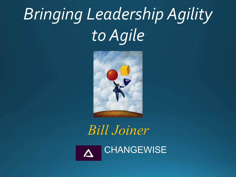# *Bringing Leadership Agility to Agile*



 *Bill Joiner* **CHANGEWISE**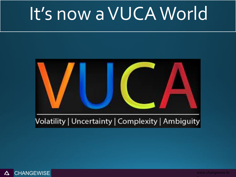## It's now a VUCA World



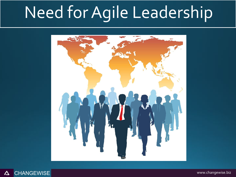## Need for Agile Leadership



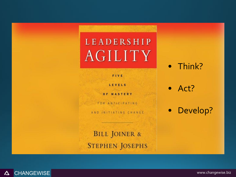#### **LEADERSHIP AGILITY**

FIVE

LEVELS

OF MASTERY

FOR ANTICIPATING

AND INITIATING CHANGE

**BILL JOINER & STEPHEN JOSEPHS**  • Think?

• Act?

• Develop?

**CHANGEWISE** ■ 2013 CHANGEWISE ■ 2013 CHANGEWISE, Inc. – All Rights Reserved www.changewise.biz  $\Delta$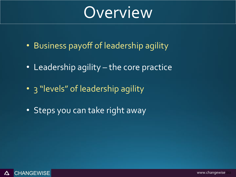### Overview

- Business payoff of leadership agility
- Leadership agility the core practice
- 3 "levels" of leadership agility
- Steps you can take right away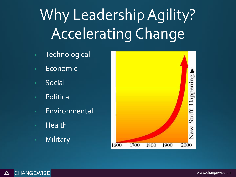## Why Leadership Agility? Accelerating Change

- **Technological**
- Economic
- Social
- Political
- Environmental
- Health
- Military

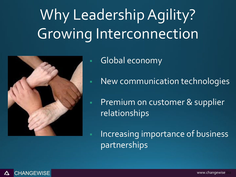## Why Leadership Agility? Growing Interconnection



**Global economy** 

- New communication technologies
- **Premium on customer & supplier** relationships

Increasing importance of business partnerships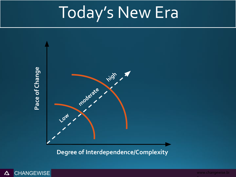## Today's New Era



**Degree of Interdependence/Complexity**



*Copyright © 2013 ChangeWise Inc.. – All Rights Reserved* www.changewise.bi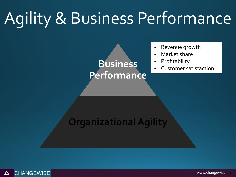## Agility & Business Performance

#### **Business Performance**

- Revenue growth
- Market share
- Profitability
- Customer satisfaction

#### **Organizational Agility**

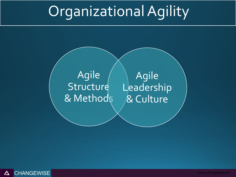### Organizational Agility

#### Agile **Structure** & Methods

Agile Leadership & Culture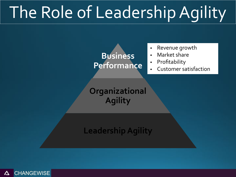## The Role of Leadership Agility

#### **Business Performance**

- Revenue growth
- Market share
- Profitability
- Customer satisfaction

**Organizational Agility**

#### **Leadership Agility**

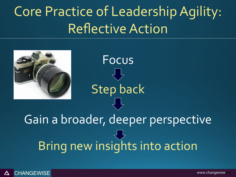#### Core Practice of Leadership Agility: Reflective Action

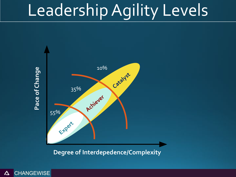## Leadership Agility Levels



**Degree of Interdepedence/Complexity**

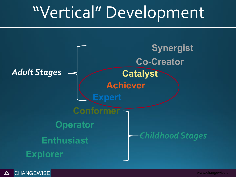## "Vertical" Development

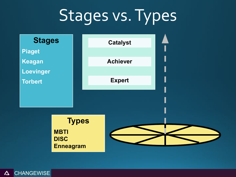## Stages vs. Types



CHANGEWISE *Copyright © 2013 ChangeWise, Inc. – All Rights Reserved* www.changewise.bi  $\Delta$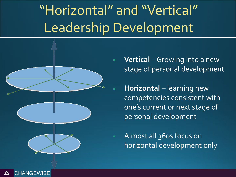### "Horizontal" and "Vertical" Leadership Development



**Vertical** – Growing into a new stage of personal development

**Horizontal** – learning new competencies consistent with one's current or next stage of personal development

Almost all 360s focus on horizontal development only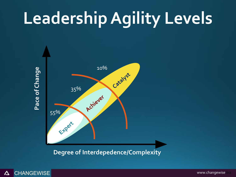# **Leadership Agility Levels**



**Degree of Interdepedence/Complexity**



*Copyright © 2013 ChangeWise Inc.. – All Rights Reserved* www.changewise.bi www.changewise.biz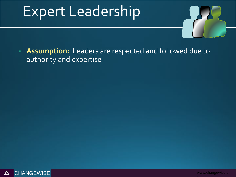

**Assumption:** Leaders are respected and followed due to authority and expertise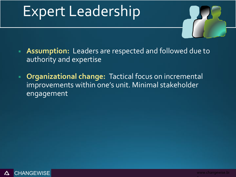

- **EXTERGHEDRIFF Assumption:** Leaders are respected and followed due to authority and expertise
- **EXP Organizational change:** Tactical focus on incremental improvements within one's unit. Minimal stakeholder engagement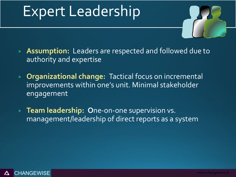

- **EXTER Assumption:** Leaders are respected and followed due to authority and expertise
- **EXP Organizational change:** Tactical focus on incremental improvements within one's unit. Minimal stakeholder engagement
- **Team leadership: One-on-one supervision vs.** management/leadership of direct reports as a system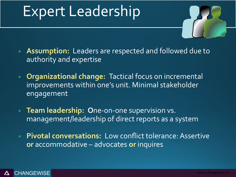

- **EXTERGHEDRIFF Assumption:** Leaders are respected and followed due to authority and expertise
- **Organizational change: Tactical focus on incremental** improvements within one's unit. Minimal stakeholder engagement
- **Team leadership: One-on-one supervision vs.** management/leadership of direct reports as a system
- **Pivotal conversations:** Low conflict tolerance: Assertive **or** accommodative – advocates **or** inquires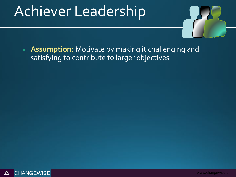

**Assumption:** Motivate by making it challenging and satisfying to contribute to larger objectives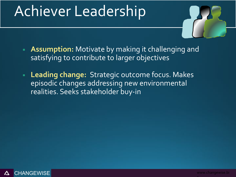

- **EXTER 15 Assumption:** Motivate by making it challenging and satisfying to contribute to larger objectives
- **Leading change: Strategic outcome focus. Makes** episodic changes addressing new environmental realities. Seeks stakeholder buy-in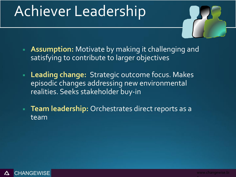

- **EXTERGHT Assumption:** Motivate by making it challenging and satisfying to contribute to larger objectives
- **Leading change: Strategic outcome focus. Makes** episodic changes addressing new environmental realities. Seeks stakeholder buy-in
- **Team leadership:** Orchestrates direct reports as a team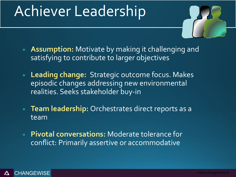

- **EXTER 15 Assumption:** Motivate by making it challenging and satisfying to contribute to larger objectives
- **Leading change: Strategic outcome focus. Makes** episodic changes addressing new environmental realities. Seeks stakeholder buy-in
- **Team leadership:** Orchestrates direct reports as a team
- **Pivotal conversations:** Moderate tolerance for conflict: Primarily assertive or accommodative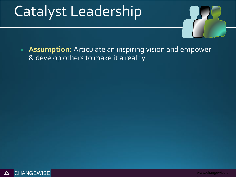

**Assumption:** Articulate an inspiring vision and empower & develop others to make it a reality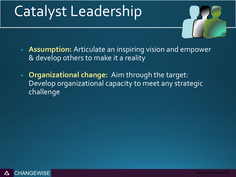

- **EXTER** Assumption: Articulate an inspiring vision and empower & develop others to make it a reality
- **Organizational change:** Aim through the target: Develop organizational capacity to meet any strategic challenge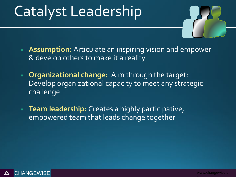

- **EXTER** Assumption: Articulate an inspiring vision and empower & develop others to make it a reality
- **Organizational change:** Aim through the target: Develop organizational capacity to meet any strategic challenge
- **Team leadership:** Creates a highly participative, empowered team that leads change together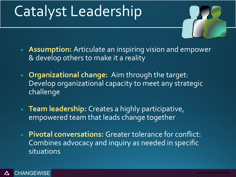

- **EXTER** Assumption: Articulate an inspiring vision and empower & develop others to make it a reality
- **Organizational change:** Aim through the target: Develop organizational capacity to meet any strategic challenge
- **Team leadership:** Creates a highly participative, empowered team that leads change together
- **Pivotal conversations:** Greater tolerance for conflict: Combines advocacy and inquiry as needed in specific situations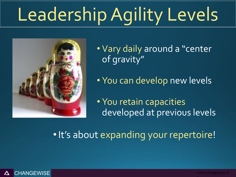# Leadership Agility Levels



• Vary daily around a "center of gravity"

• You can develop new levels

• You retain capacities developed at previous levels

•It's about expanding your repertoire!